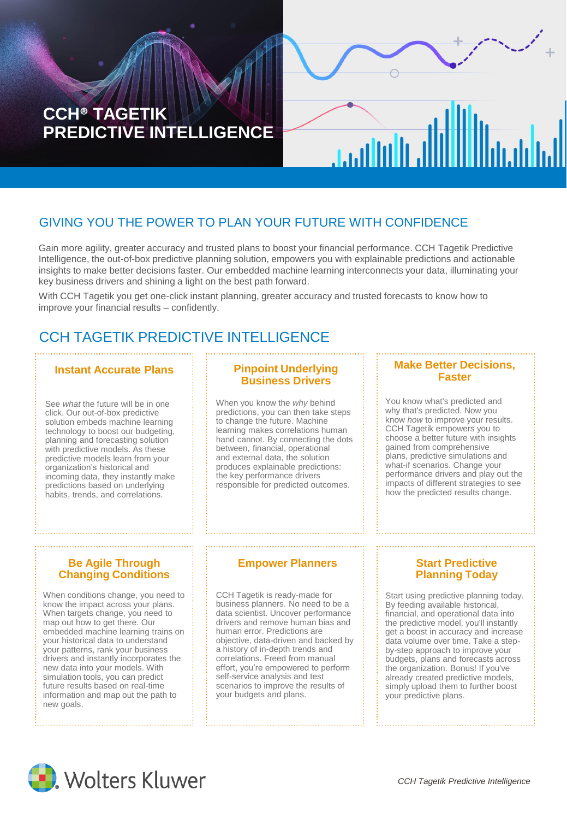# **CCH® TAGETIK PREDICTIVE INTELLIGENCE**

## GIVING YOU THE POWER TO PLAN YOUR FUTURE WITH CONFIDENCE

Gain more agility, greater accuracy and trusted plans to boost your financial performance. CCH Tagetik Predictive Intelligence, the out-of-box predictive planning solution, empowers you with explainable predictions and actionable insights to make better decisions faster. Our embedded machine learning interconnects your data, illuminating your key business drivers and shining a light on the best path forward.

With CCH Tagetik you get one-click instant planning, greater accuracy and trusted forecasts to know how to improve your financial results – confidently.

## CCH TAGETIK PREDICTIVE INTELLIGENCE

#### **Instant Accurate Plans**

See *what* the future will be in one click. Our out-of-box predictive solution embeds machine learning technology to boost our budgeting, planning and forecasting solution with predictive models. As these predictive models learn from your organization's historical and incoming data, they instantly make predictions based on underlying habits, trends, and correlations.

#### **Pinpoint Underlying Business Drivers**

When you know the *why* behind predictions, you can then take steps to change the future. Machine learning makes correlations human hand cannot. By connecting the dots between, financial, operational and external data, the solution produces explainable predictions: the key performance drivers responsible for predicted outcomes.

#### **Make Better Decisions, Faster**

**Jailul**la

You know what's predicted and why that's predicted. Now you know *how* to improve your results. CCH Tagetik empowers you to choose a better future with insights gained from comprehensive plans, predictive simulations and what-if scenarios. Change your performance drivers and play out the impacts of different strategies to see how the predicted results change.

#### **Be Agile Through Changing Conditions**

When conditions change, you need to know the impact across your plans. When targets change, you need to map out how to get there. Our embedded machine learning trains on your historical data to understand your patterns, rank your business drivers and instantly incorporates the new data into your models. With simulation tools, you can predict future results based on real-time information and map out the path to new goals.

#### **Empower Planners**

CCH Tagetik is ready-made for business planners. No need to be a data scientist. Uncover performance drivers and remove human bias and human error. Predictions are objective, data-driven and backed by a history of in-depth trends and correlations. Freed from manual effort, you're empowered to perform self-service analysis and test scenarios to improve the results of your budgets and plans.

#### **Start Predictive Planning Today**

Start using predictive planning today. By feeding available historical, financial, and operational data into the predictive model, you'll instantly get a boost in accuracy and increase data volume over time. Take a stepby-step approach to improve your budgets, plans and forecasts across the organization. Bonus! If you've already created predictive models, simply upload them to further boost your predictive plans.